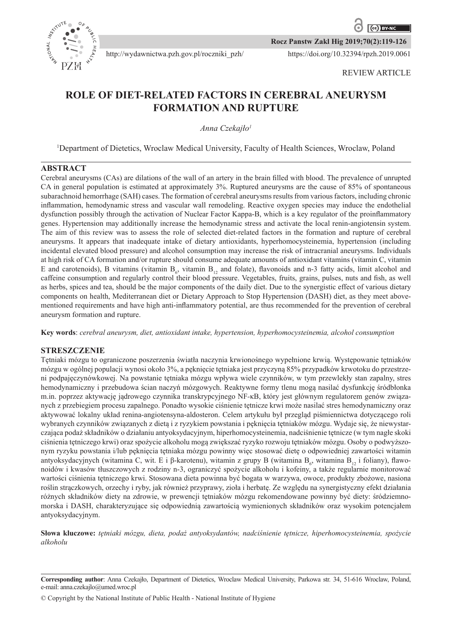

**Rocz Panstw Zakl Hig 2019;70(2):119-126**

https://doi.org/10.32394/rpzh.2019.0061

# **ROLE OF DIET-RELATED FACTORS IN CEREBRAL ANEURYSM FORMATION AND RUPTURE**

http://wydawnictwa.pzh.gov.pl/roczniki\_pzh/

*Anna Czekajło<sup>1</sup>*

<sup>1</sup>Department of Dietetics, Wroclaw Medical University, Faculty of Health Sciences, Wroclaw, Poland

# **ABSTRACT**

Cerebral aneurysms (CAs) are dilations of the wall of an artery in the brain filled with blood. The prevalence of unrupted CA in general population is estimated at approximately 3%. Ruptured aneurysms are the cause of 85% of spontaneous subarachnoid hemorrhage (SAH) cases. The formation of cerebral aneurysms results from various factors, including chronic inflammation, hemodynamic stress and vascular wall remodeling. Reactive oxygen species may induce the endothelial dysfunction possibly through the activation of Nuclear Factor Kappa-B, which is a key regulator of the proinflammatory genes. Hypertension may additionally increase the hemodynamic stress and activate the local renin-angiotensin system. The aim of this review was to assess the role of selected diet-related factors in the formation and rupture of cerebral aneurysms. It appears that inadequate intake of dietary antioxidants, hyperhomocysteinemia, hypertension (including incidental elevated blood pressure) and alcohol consumption may increase the risk of intracranial aneurysms. Individuals at high risk of CA formation and/or rupture should consume adequate amounts of antioxidant vitamins (vitamin C, vitamin E and carotenoids), B vitamins (vitamin  $B_6$ , vitamin  $B_{12}$  and folate), flavonoids and n-3 fatty acids, limit alcohol and caffeine consumption and regularly control their blood pressure. Vegetables, fruits, grains, pulses, nuts and fish, as well as herbs, spices and tea, should be the major components of the daily diet. Due to the synergistic effect of various dietary components on health, Mediterranean diet or Dietary Approach to Stop Hypertension (DASH) diet, as they meet abovementioned requirements and have high anti-inflammatory potential, are thus recommended for the prevention of cerebral aneurysm formation and rupture.

**Key words**: *cerebral aneurysm, diet, antioxidant intake, hypertension, hyperhomocysteinemia, alcohol consumption*

### **STRESZCZENIE**

Tętniaki mózgu to ograniczone poszerzenia światła naczynia krwionośnego wypełnione krwią. Występowanie tętniaków mózgu w ogólnej populacji wynosi około 3%, a pęknięcie tętniaka jest przyczyną 85% przypadków krwotoku do przestrzeni podpajęczynówkowej. Na powstanie tętniaka mózgu wpływa wiele czynników, w tym przewlekły stan zapalny, stres hemodynamiczny i przebudowa ścian naczyń mózgowych. Reaktywne formy tlenu mogą nasilać dysfunkcję śródbłonka m.in. poprzez aktywację jądrowego czynnika transkrypcyjnego NF*-*κB, który jest głównym regulatorem genów związanych z przebiegiem procesu zapalnego. Ponadto wysokie ciśnienie tętnicze krwi może nasilać stres hemodynamiczny oraz aktywować lokalny układ renina-angiotensyna-aldosteron. Celem artykułu był przegląd piśmiennictwa dotyczącego roli wybranych czynników związanych z dietą i z ryzykiem powstania i pęknięcia tętniaków mózgu. Wydaje się, że niewystarczająca podaż składników o działaniu antyoksydacyjnym, hiperhomocysteinemia, nadciśnienie tętnicze (w tym nagłe skoki ciśnienia tętniczego krwi) oraz spożycie alkoholu mogą zwiększać ryzyko rozwoju tętniaków mózgu. Osoby o podwyższonym ryzyku powstania i/lub pęknięcia tętniaka mózgu powinny więc stosować dietę o odpowiedniej zawartości witamin antyoksydacyjnych (witamina C, wit. E i β-karotenu), witamin z grupy B (witamina  $B_6$ , witamina  $B_{12}$  i foliany), flawonoidów i kwasów tłuszczowych z rodziny n-3, ograniczyć spożycie alkoholu i kofeiny, a także regularnie monitorować wartości ciśnienia tętniczego krwi. Stosowana dieta powinna być bogata w warzywa, owoce, produkty zbożowe, nasiona roślin strączkowych, orzechy i ryby, jak również przyprawy, zioła i herbatę. Ze względu na synergistyczny efekt działania różnych składników diety na zdrowie, w prewencji tętniaków mózgu rekomendowane powinny być diety: śródziemnomorska i DASH, charakteryzujące się odpowiednią zawartością wymienionych składników oraz wysokim potencjałem antyoksydacyjnym.

**Słowa kluczowe:** *tętniaki mózgu, dieta, podaż antyoksydantów, nadciśnienie tętnicze, hiperhomocysteinemia, spożycie alkoholu*

**Corresponding author**: Anna Czekajło, Department of Dietetics, Wroclaw Medical University, Parkowa str. 34, 51-616 Wroclaw, Poland, e-mail: anna.czekajlo@umed.wroc.pl

© Copyright by the National Institute of Public Health - National Institute of Hygiene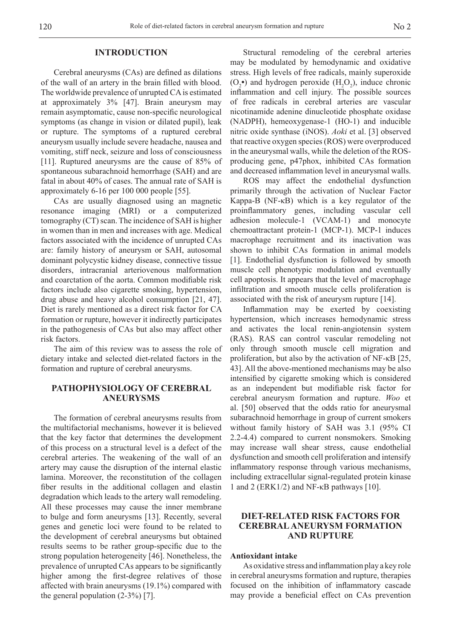#### **INTRODUCTION**

Cerebral aneurysms (CAs) are defined as dilations of the wall of an artery in the brain filled with blood. The worldwide prevalence of unrupted CA is estimated at approximately 3% [47]. Brain aneurysm may remain asymptomatic, cause non-specific neurological symptoms (as change in vision or dilated pupil), leak or rupture. The symptoms of a ruptured cerebral aneurysm usually include severe headache, nausea and vomiting, stiff neck, seizure and loss of consciousness [11]. Ruptured aneurysms are the cause of 85% of spontaneous subarachnoid hemorrhage (SAH) and are fatal in about 40% of cases. The annual rate of SAH is approximately 6-16 per 100 000 people [55].

CAs are usually diagnosed using an magnetic resonance imaging (MRI) or a computerized tomography (CT) scan. The incidence of SAH is higher in women than in men and increases with age. Medical factors associated with the incidence of unrupted CAs are: family history of aneurysm or SAH, autosomal dominant polycystic kidney disease, connective tissue disorders, intracranial arteriovenous malformation and coarctation of the aorta. Common modifiable risk factors include also cigarette smoking, hypertension, drug abuse and heavy alcohol consumption [21, 47]. Diet is rarely mentioned as a direct risk factor for CA formation or rupture, however it indirectly participates in the pathogenesis of CAs but also may affect other risk factors.

The aim of this review was to assess the role of dietary intake and selected diet-related factors in the formation and rupture of cerebral aneurysms.

# **PATHOPHYSIOLOGY OF CEREBRAL ANEURYSMS**

The formation of cerebral aneurysms results from the multifactorial mechanisms, however it is believed that the key factor that determines the development of this process on a structural level is a defect of the cerebral arteries. The weakening of the wall of an artery may cause the disruption of the internal elastic lamina. Moreover, the reconstitution of the collagen fiber results in the additional collagen and elastin degradation which leads to the artery wall remodeling. All these processes may cause the inner membrane to bulge and form aneurysms [13]. Recently, several genes and genetic loci were found to be related to the development of cerebral aneurysms but obtained results seems to be rather group-specific due to the strong population heterogeneity [46]. Nonetheless, the prevalence of unrupted CAs appears to be significantly higher among the first-degree relatives of those affected with brain aneurysms (19.1%) compared with the general population  $(2-3\%)$  [7].

Structural remodeling of the cerebral arteries may be modulated by hemodynamic and oxidative stress. High levels of free radicals, mainly superoxide  $(O_2^{\bullet})$  and hydrogen peroxide  $(H_2O_2)$ , induce chronic inflammation and cell injury. The possible sources of free radicals in cerebral arteries are vascular nicotinamide adenine dinucleotide phosphate oxidase (NADPH), hemeoxygenase-1 (HO-1) and inducible nitric oxide synthase (iNOS). *Aoki* et al. [3] observed that reactive oxygen species (ROS) were overproduced in the aneurysmal walls, while the deletion of the ROSproducing gene, p47phox, inhibited CAs formation and decreased inflammation level in aneurysmal walls.

ROS may affect the endothelial dysfunction primarily through the activation of Nuclear Factor Kappa-B (NF-κB) which is a key regulator of the proinflammatory genes, including vascular cell adhesion molecule-1 (VCAM-1) and monocyte chemoattractant protein-1 (MCP-1). MCP-1 induces macrophage recruitment and its inactivation was shown to inhibit CAs formation in animal models [1]. Endothelial dysfunction is followed by smooth muscle cell phenotypic modulation and eventually cell apoptosis. It appears that the level of macrophage infiltration and smooth muscle cells proliferation is associated with the risk of aneurysm rupture [14].

Inflammation may be exerted by coexisting hypertension, which increases hemodynamic stress and activates the local renin-angiotensin system (RAS). RAS can control vascular remodeling not only through smooth muscle cell migration and proliferation, but also by the activation of NF-κB [25, 43]. All the above-mentioned mechanisms may be also intensified by cigarette smoking which is considered as an independent but modifiable risk factor for cerebral aneurysm formation and rupture. *Woo* et al. [50] observed that the odds ratio for aneurysmal subarachnoid hemorrhage in group of current smokers without family history of SAH was 3.1 (95% CI 2.2-4.4) compared to current nonsmokers. Smoking may increase wall shear stress, cause endothelial dysfunction and smooth cell proliferation and intensify inflammatory response through various mechanisms, including extracellular signal-regulated protein kinase 1 and 2 (ERK1/2) and NF-κB pathways [10].

# **DIET-RELATED RISK FACTORS FOR CEREBRAL ANEURYSM FORMATION AND RUPTURE**

#### **Antioxidant intake**

As oxidative stress and inflammation play a key role in cerebral aneurysms formation and rupture, therapies focused on the inhibition of inflammatory cascade may provide a beneficial effect on CAs prevention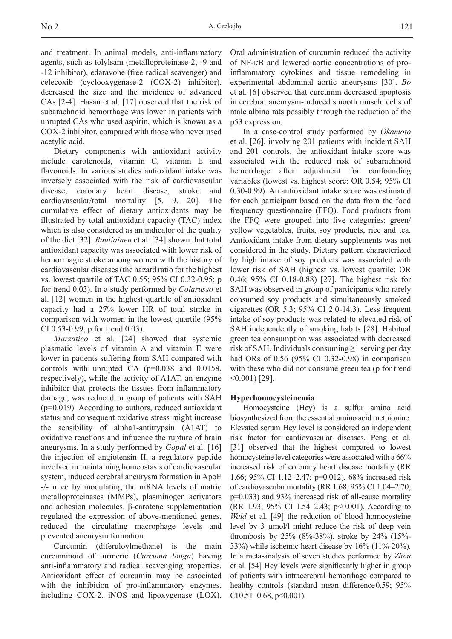and treatment. In animal models, anti-inflammatory agents, such as tolylsam (metalloproteinase-2, -9 and -12 inhibitor), edaravone (free radical scavenger) and celecoxib (cyclooxygenase-2 (COX-2) inhibitor), decreased the size and the incidence of advanced CAs [2-4]. Hasan et al. [17] observed that the risk of subarachnoid hemorrhage was lower in patients with unrupted CAs who used aspirin, which is known as a COX-2 inhibitor, compared with those who never used acetylic acid.

Dietary components with antioxidant activity include carotenoids, vitamin C, vitamin E and flavonoids. In various studies antioxidant intake was inversely associated with the risk of cardiovascular disease, coronary heart disease, stroke and cardiovascular/total mortality [5, 9, 20]. The cumulative effect of dietary antioxidants may be illustrated by total antioxidant capacity (TAC) index which is also considered as an indicator of the quality of the diet [32]. *Rautiainen* et al. [34] shown that total antioxidant capacity was associated with lower risk of hemorrhagic stroke among women with the history of cardiovascular diseases (the hazard ratio for the highest vs. lowest quartile of TAC 0.55; 95% CI 0.32-0.95; p for trend 0.03). In a study performed by *Colarusso* et al. [12] women in the highest quartile of antioxidant capacity had a 27% lower HR of total stroke in comparison with women in the lowest quartile (95% CI 0.53-0.99; p for trend 0.03).

*Marzatico* et al. [24] showed that systemic plasmatic levels of vitamin A and vitamin E were lower in patients suffering from SAH compared with controls with unrupted CA (p=0.038 and 0.0158, respectively), while the activity of A1AT, an enzyme inhibitor that protects the tissues from inflammatory damage, was reduced in group of patients with SAH (p=0.019). According to authors, reduced antioxidant status and consequent oxidative stress might increase the sensibility of alpha1-antitrypsin (A1AT) to oxidative reactions and influence the rupture of brain aneurysms. In a study performed by *Gopal* et al. [16] the injection of angiotensin II, a regulatory peptide involved in maintaining homeostasis of cardiovascular system, induced cerebral aneurysm formation in ApoE -/- mice by modulating the mRNA levels of matric metalloproteinases (MMPs), plasminogen activators and adhesion molecules. β-carotene supplementation regulated the expression of above-mentioned genes, reduced the circulating macrophage levels and prevented aneurysm formation.

Curcumin (diferuloylmethane) is the main curcuminoid of turmeric (*Curcuma longa*) having anti-inflammatory and radical scavenging properties. Antioxidant effect of curcumin may be associated with the inhibition of pro-inflammatory enzymes, including COX-2, iNOS and lipoxygenase (LOX).

Oral administration of curcumin reduced the activity of NF-κB and lowered aortic concentrations of proinflammatory cytokines and tissue remodeling in experimental abdominal aortic aneurysms [30]. *Bo* et al. [6] observed that curcumin decreased apoptosis in cerebral aneurysm-induced smooth muscle cells of male albino rats possibly through the reduction of the p53 expression.

In a case-control study performed by *Okamoto* et al. [26], involving 201 patients with incident SAH and 201 controls, the antioxidant intake score was associated with the reduced risk of subarachnoid hemorrhage after adjustment for confounding variables (lowest vs. highest score: OR 0.54; 95% CI 0.30-0.99). An antioxidant intake score was estimated for each participant based on the data from the food frequency questionnaire (FFQ). Food products from the FFQ were grouped into five categories: green/ yellow vegetables, fruits, soy products, rice and tea. Antioxidant intake from dietary supplements was not considered in the study. Dietary pattern characterized by high intake of soy products was associated with lower risk of SAH (highest vs. lowest quartile: OR 0.46; 95% CI 0.18-0.88) [27]. The highest risk for SAH was observed in group of participants who rarely consumed soy products and simultaneously smoked cigarettes (OR 5.3; 95% CI 2.0-14.3). Less frequent intake of soy products was related to elevated risk of SAH independently of smoking habits [28]. Habitual green tea consumption was associated with decreased risk of SAH. Individuals consuming  $\geq 1$  serving per day had ORs of 0.56 (95% CI 0.32-0.98) in comparison with these who did not consume green tea (p for trend  $(0.001)$  [29].

#### **Hyperhomocysteinemia**

Homocysteine (Hcy) is a sulfur amino acid biosynthesized from the essential amino acid methionine. Elevated serum Hcy level is considered an independent risk factor for cardiovascular diseases. Peng et al. [31] observed that the highest compared to lowest homocysteine level categories were associated with a  $66\%$ increased risk of coronary heart disease mortality (RR 1.66; 95% CI 1.12–2.47; p=0.012), 68% increased risk of cardiovascular mortality (RR 1.68; 95% CI 1.04–2.70; p=0.033) and 93% increased risk of all-cause mortality (RR 1.93; 95% CI 1.54–2.43; p<0.001). According to *Wald* et al. [49] the reduction of blood homocysteine level by 3 µmol/l might reduce the risk of deep vein thrombosis by 25% (8%-38%), stroke by 24% (15%- 33%) while ischemic heart disease by 16% (11%-20%). In a meta-analysis of seven studies performed by *Zhou* et al. [54] Hcy levels were significantly higher in group of patients with intracerebral hemorrhage compared to healthy controls (standard mean difference 0.59; 95% CI0.51–0.68,  $p<0.001$ ).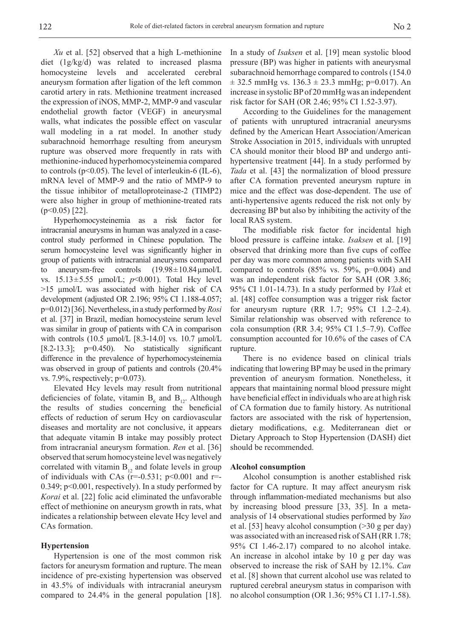*Xu* et al. [52] observed that a high L-methionine diet (1g/kg/d) was related to increased plasma homocysteine levels and accelerated cerebral aneurysm formation after ligation of the left common carotid artery in rats. Methionine treatment increased the expression of iNOS, MMP-2, MMP-9 and vascular endothelial growth factor (VEGF) in aneurysmal walls, what indicates the possible effect on vascular wall modeling in a rat model. In another study subarachnoid hemorrhage resulting from aneurysm rupture was observed more frequently in rats with methionine-induced hyperhomocysteinemia compared to controls ( $p<0.05$ ). The level of interleukin-6 (IL-6), mRNA level of MMP-9 and the ratio of MMP-9 to the tissue inhibitor of metalloproteinase-2 (TIMP2) were also higher in group of methionine-treated rats  $(p<0.05)$  [22].

Hyperhomocysteinemia as a risk factor for intracranial aneurysms in human was analyzed in a casecontrol study performed in Chinese population. The serum homocysteine level was significantly higher in group of patients with intracranial aneurysms compared to aneurysm-free controls  $(19.98 \pm 10.84 \,\mu m o l/L)$ vs.  $15.13 \pm 5.55$  µmol/L;  $p<0.001$ ). Total Hcy level >15 µmol/L was associated with higher risk of CA development (adjusted OR 2.196; 95% CI 1.188-4.057; p=0.012) [36]. Nevertheless, in a study performed by *Rosi* et al. [37] in Brazil, median homocysteine serum level was similar in group of patients with CA in comparison with controls (10.5 μmol/L [8.3-14.0] vs. 10.7 μmol/L  $[8.2-13.3]$ ;  $p=0.450$ ). No statistically significant difference in the prevalence of hyperhomocysteinemia was observed in group of patients and controls (20.4% vs. 7.9%, respectively; p=0.073).

Elevated Hcy levels may result from nutritional deficiencies of folate, vitamin  $B_6$  and  $B_{12}$ . Although the results of studies concerning the beneficial effects of reduction of serum Hcy on cardiovascular diseases and mortality are not conclusive, it appears that adequate vitamin B intake may possibly protect from intracranial aneurysm formation. *Ren* et al. [36] observed that serum homocysteine level was negatively correlated with vitamin  $B_{12}$  and folate levels in group of individuals with CAs ( $r=0.531$ ;  $p<0.001$  and  $r=$ 0.349; p<0.001, respectively). In a study performed by *Korai* et al. [22] folic acid eliminated the unfavorable effect of methionine on aneurysm growth in rats, what indicates a relationship between elevate Hcy level and CAs formation.

### **Hypertension**

Hypertension is one of the most common risk factors for aneurysm formation and rupture. The mean incidence of pre-existing hypertension was observed in 43.5% of individuals with intracranial aneurysm compared to 24.4% in the general population [18].

In a study of *Isaksen* et al. [19] mean systolic blood pressure (BP) was higher in patients with aneurysmal subarachnoid hemorrhage compared to controls (154.0  $\pm$  32.5 mmHg vs. 136.3  $\pm$  23.3 mmHg; p=0.017). An increase in systolic BP of 20 mmHg was an independent risk factor for SAH (OR 2.46; 95% CI 1.52-3.97).

According to the Guidelines for the management of patients with unruptured intracranial aneurysms defined by the American Heart Association/American Stroke Association in 2015, individuals with unrupted CA should monitor their blood BP and undergo antihypertensive treatment [44]. In a study performed by *Tada* et al. [43] the normalization of blood pressure after CA formation prevented aneurysm rupture in mice and the effect was dose-dependent. The use of anti-hypertensive agents reduced the risk not only by decreasing BP but also by inhibiting the activity of the local RAS system.

The modifiable risk factor for incidental high blood pressure is caffeine intake. *Isaksen* et al. [19] observed that drinking more than five cups of coffee per day was more common among patients with SAH compared to controls  $(85\% \text{ vs. } 59\%, \text{ p=0.004})$  and was an independent risk factor for SAH (OR 3.86; 95% CI 1.01-14.73). In a study performed by *Vlak* et al. [48] coffee consumption was a trigger risk factor for aneurysm rupture (RR 1.7; 95% CI 1.2–2.4). Similar relationship was observed with reference to cola consumption (RR 3.4; 95% CI 1.5–7.9). Coffee consumption accounted for 10.6% of the cases of CA rupture.

There is no evidence based on clinical trials indicating that lowering BP may be used in the primary prevention of aneurysm formation. Nonetheless, it appears that maintaining normal blood pressure might have beneficial effect in individuals who are at high risk of CA formation due to family history. As nutritional factors are associated with the risk of hypertension, dietary modifications, e.g. Mediterranean diet or Dietary Approach to Stop Hypertension (DASH) diet should be recommended.

#### **Alcohol consumption**

Alcohol consumption is another established risk factor for CA rupture. It may affect aneurysm risk through inflammation-mediated mechanisms but also by increasing blood pressure [33, 35]. In a metaanalysis of 14 observational studies performed by *Yao* et al. [53] heavy alcohol consumption (>30 g per day) was associated with an increased risk of SAH (RR 1.78; 95% CI 1.46-2.17) compared to no alcohol intake. An increase in alcohol intake by 10 g per day was observed to increase the risk of SAH by 12.1%. *Can* et al. [8] shown that current alcohol use was related to ruptured cerebral aneurysm status in comparison with no alcohol consumption (OR 1.36; 95% CI 1.17-1.58).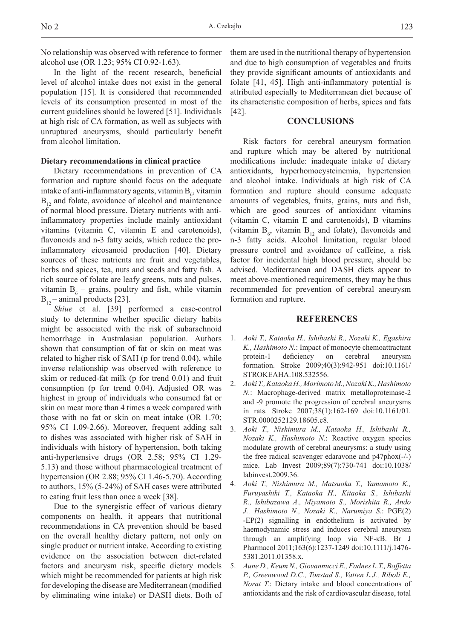No relationship was observed with reference to former alcohol use (OR 1.23; 95% CI 0.92-1.63).

In the light of the recent research, beneficial level of alcohol intake does not exist in the general population [15]. It is considered that recommended levels of its consumption presented in most of the current guidelines should be lowered [51]. Individuals at high risk of CA formation, as well as subjects with unruptured aneurysms, should particularly benefit from alcohol limitation.

### **Dietary recommendations in clinical practice**

Dietary recommendations in prevention of CA formation and rupture should focus on the adequate intake of anti-inflammatory agents, vitamin  $B_6$ , vitamin  $B_{12}$  and folate, avoidance of alcohol and maintenance of normal blood pressure. Dietary nutrients with antiinflammatory properties include mainly antioxidant vitamins (vitamin C, vitamin E and carotenoids), flavonoids and n-3 fatty acids, which reduce the proinflammatory eicosanoid production [40]. Dietary sources of these nutrients are fruit and vegetables, herbs and spices, tea, nuts and seeds and fatty fish. A rich source of folate are leafy greens, nuts and pulses, vitamin  $B_6$  – grains, poultry and fish, while vitamin  $B_{12}$  – animal products [23].

*Shiue* et al. [39] performed a case-control study to determine whether specific dietary habits might be associated with the risk of subarachnoid hemorrhage in Australasian population. Authors shown that consumption of fat or skin on meat was related to higher risk of SAH (p for trend 0.04), while inverse relationship was observed with reference to skim or reduced-fat milk (p for trend 0.01) and fruit consumption (p for trend 0.04). Adjusted OR was highest in group of individuals who consumed fat or skin on meat more than 4 times a week compared with those with no fat or skin on meat intake (OR 1.70; 95% CI 1.09-2.66). Moreover, frequent adding salt to dishes was associated with higher risk of SAH in individuals with history of hypertension, both taking anti-hypertensive drugs (OR 2.58; 95% CI 1.29- 5.13) and those without pharmacological treatment of hypertension (OR 2.88; 95% CI 1.46-5.70). According to authors, 15% (5-24%) of SAH cases were attributed to eating fruit less than once a week [38].

Due to the synergistic effect of various dietary components on health, it appears that nutritional recommendations in CA prevention should be based on the overall healthy dietary pattern, not only on single product or nutrient intake. According to existing evidence on the association between diet-related factors and aneurysm risk, specific dietary models which might be recommended for patients at high risk for developing the disease are Mediterranean (modified by eliminating wine intake) or DASH diets. Both of

them are used in the nutritional therapy of hypertension and due to high consumption of vegetables and fruits they provide significant amounts of antioxidants and folate [41, 45]. High anti-inflammatory potential is attributed especially to Mediterranean diet because of its characteristic composition of herbs, spices and fats [42].

# **CONCLUSIONS**

Risk factors for cerebral aneurysm formation and rupture which may be altered by nutritional modifications include: inadequate intake of dietary antioxidants, hyperhomocysteinemia, hypertension and alcohol intake. Individuals at high risk of CA formation and rupture should consume adequate amounts of vegetables, fruits, grains, nuts and fish, which are good sources of antioxidant vitamins (vitamin C, vitamin E and carotenoids), B vitamins (vitamin  $B_6$ , vitamin  $B_{12}$  and folate), flavonoids and n-3 fatty acids. Alcohol limitation, regular blood pressure control and avoidance of caffeine, a risk factor for incidental high blood pressure, should be advised. Mediterranean and DASH diets appear to meet above-mentioned requirements, they may be thus recommended for prevention of cerebral aneurysm formation and rupture.

### **REFERENCES**

- 1. *Aoki T., Kataoka H., Ishibashi R., Nozaki K., Egashira K., Hashimoto N.*: Impact of monocyte chemoattractant protein-1 deficiency on cerebral aneurysm formation. Stroke 2009;40(3):942-951 doi:10.1161/ STROKEAHA.108.532556.
- 2. *Aoki T., Kataoka H., Morimoto M., Nozaki K., Hashimoto N.*: Macrophage-derived matrix metalloproteinase-2 and -9 promote the progression of cerebral aneurysms in rats. Stroke 2007;38(1):162-169 doi:10.1161/01. STR.0000252129.18605.c8.
- 3. *Aoki T., Nishimura M., Kataoka H., Ishibashi R., Nozaki K., Hashimoto N.*: Reactive oxygen species modulate growth of cerebral aneurysms: a study using the free radical scavenger edaravone and p47phox(-/-) mice. Lab Invest 2009;89(7):730-741 doi:10.1038/ labinvest.2009.36.
- 4. *Aoki T., Nishimura M., Matsuoka T., Yamamoto K., Furuyashiki T., Kataoka H., Kitaoka S., Ishibashi R., Ishibazawa A., Miyamoto S., Morishita R., Ando J., Hashimoto N., Nozaki K., Narumiya S.*: PGE(2) -EP(2) signalling in endothelium is activated by haemodynamic stress and induces cerebral aneurysm through an amplifying loop via NF-κB. Br J Pharmacol 2011;163(6):1237-1249 doi:10.1111/j.1476- 5381.2011.01358.x.
- 5. *Aune D., Keum N., Giovannucci E., Fadnes L.T., Boffetta P., Greenwood D.C., Tonstad S., Vatten L.J., Riboli E., Norat T.*: Dietary intake and blood concentrations of antioxidants and the risk of cardiovascular disease, total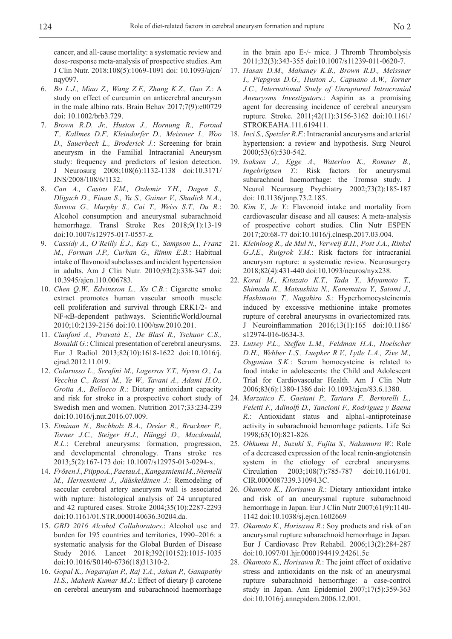cancer, and all-cause mortality: a systematic review and dose-response meta-analysis of prospective studies. Am J Clin Nutr. 2018;108(5):1069-1091 doi: 10.1093/ajcn/ nqy097.

- 6. *Bo L.J., Miao Z., Wang Z.F., Zhang K.Z., Gao Z.*: A study on effect of curcumin on anticerebral aneurysm in the male albino rats. Brain Behav 2017;7(9):e00729 doi: 10.1002/brb3.729.
- 7. *Brown R.D. Jr., Huston J., Hornung R., Foroud T., Kallmes D.F., Kleindorfer D., Meissner I., Woo D., Sauerbeck L., Broderick J.*: Screening for brain aneurysm in the Familial Intracranial Aneurysm study: frequency and predictors of lesion detection. J Neurosurg 2008;108(6):1132-1138 doi:10.3171/ JNS/2008/108/6/1132.
- 8. *Can A., Castro V.M., Ozdemir Y.H., Dagen S., Dligach D., Finan S., Yu S., Gainer V., Shadick N.A., Savova G., Murphy S., Cai T., Weiss S.T., Du R.*: Alcohol consumption and aneurysmal subarachnoid hemorrhage. Transl Stroke Res 2018;9(1):13-19 doi:10.1007/s12975-017-0557-z.
- 9. *Cassidy A., O'Reilly É.J., Kay C., Sampson L., Franz M., Forman J.P., Curhan G., Rimm E.B.*: Habitual intake of flavonoid subclasses and incident hypertension in adults. Am J Clin Nutr. 2010;93(2):338-347 doi: 10.3945/ajcn.110.006783.
- 10. *Chen Q.W., Edvinsson L., Xu C.B.*: Cigarette smoke extract promotes human vascular smooth muscle cell proliferation and survival through ERK1/2- and NF-κB-dependent pathways. ScientificWorldJournal 2010;10:2139-2156 doi:10.1100/tsw.2010.201.
- 11. *Cianfoni A., Pravatà E., De Blasi R., Tschuor C.S., Bonaldi G.*: Clinical presentation of cerebral aneurysms. Eur J Radiol 2013;82(10):1618-1622 doi:10.1016/j. ejrad.2012.11.019.
- 12. *Colarusso L., Serafini M., Lagerros Y.T., Nyren O., La Vecchia C., Rossi M., Ye W., Tavani A., Adami H.O., Grotta A., Bellocco R*.: Dietary antioxidant capacity and risk for stroke in a prospective cohort study of Swedish men and women. Nutrition 2017;33:234-239 doi:10.1016/j.nut.2016.07.009.
- 13. *Etminan N., Buchholz B.A., Dreier R., Bruckner P., Torner J.C., Steiger H.J., Hänggi D., Macdonald, R.L.*: Cerebral aneurysms: formation, progression, and developmental chronology. Trans stroke res 2013;5(2):167-173 doi: 10.1007/s12975-013-0294-x.
- 14. *Frösen J., Piippo A., Paetau A., Kangasniemi M., Niemelä M., Hernesniemi J., Jääskeläinen J.*: Remodeling of saccular cerebral artery aneurysm wall is associated with rupture: histological analysis of 24 unruptured and 42 ruptured cases. Stroke 2004;35(10):2287-2293 doi:10.1161/01.STR.0000140636.30204.da.
- 15. *GBD 2016 Alcohol Collaborators*.: Alcohol use and burden for 195 countries and territories, 1990–2016: a systematic analysis for the Global Burden of Disease Study 2016. Lancet 2018;392(10152):1015-1035 doi:10.1016/S0140-6736(18)31310-2.
- 16. *Gopal K., Nagarajan P., Raj T.A., Jahan P., Ganapathy H.S., Mahesh Kumar M.J.*: Effect of dietary β carotene on cerebral aneurysm and subarachnoid haemorrhage

in the brain apo E-/- mice. J Thromb Thrombolysis 2011;32(3):343-355 doi:10.1007/s11239-011-0620-7.

- 17. *Hasan D.M., Mahaney K.B., Brown R.D., Meissner I., Piepgras D.G., Huston J., Capuano A.W., Torner J.C., International Study of Unruptured Intracranial Aneurysms Investigators.*: Aspirin as a promising agent for decreasing incidence of cerebral aneurysm rupture. Stroke. 2011;42(11):3156-3162 doi:10.1161/ STROKEAHA.111.619411.
- 18. *Inci S., Spetzler R.F.*: Intracranial aneurysms and arterial hypertension: a review and hypothesis. Surg Neurol 2000;53(6):530-542.
- 19. *Isaksen J., Egge A., Waterloo K., Romner B., Ingebrigtsen T.*: Risk factors for aneurysmal subarachnoid haemorrhage: the Tromsø study. J Neurol Neurosurg Psychiatry 2002;73(2):185-187 doi: 10.1136/jnnp.73.2.185.
- 20. *Kim Y., Je Y.*: Flavonoid intake and mortality from cardiovascular disease and all causes: A meta-analysis of prospective cohort studies. Clin Nutr ESPEN 2017;20:68-77 doi:10.1016/j.clnesp.2017.03.004.
- 21. *Kleinloog R., de Mul N., Verweij B.H., Post J.A., Rinkel G.J.E., Ruigrok Y.M.*: Risk factors for intracranial aneurysm rupture: a systematic review. Neurosurgery 2018;82(4):431-440 doi:10.1093/neuros/nyx238.
- 22. *Korai M., Kitazato K.T., Tada Y., Miyamoto T., Shimada K., Matsushita N., Kanematsu Y., Satomi J., Hashimoto T., Nagahiro S.*: Hyperhomocysteinemia induced by excessive methionine intake promotes rupture of cerebral aneurysms in ovariectomized rats. J Neuroinflammation 2016;13(1):165 doi:10.1186/ s12974-016-0634-3.
- 23. *Lutsey P.L., Steffen L.M., Feldman H.A., Hoelscher D.H., Webber L.S., Luepker R.V., Lytle L.A., Zive M., Osganian S.K.*: Serum homocysteine is related to food intake in adolescents: the Child and Adolescent Trial for Cardiovascular Health. Am J Clin Nutr 2006;83(6):1380-1386 doi: 10.1093/ajcn/83.6.1380.
- 24. *Marzatico F., Gaetani P., Tartara F., Bertorelli L., Feletti F., Adinolfi D., Tancioni F., Rodriguez y Baena R.*: Antioxidant status and alpha1-antiproteinase activity in subarachnoid hemorrhage patients. Life Sci 1998;63(10):821-826.
- 25. *Ohkuma H., Suzuki S., Fujita S., Nakamura W.*: Role of a decreased expression of the local renin-angiotensin system in the etiology of cerebral aneurysms. Circulation 2003;108(7):785-787 doi:10.1161/01. CIR.0000087339.31094.3C.
- 26. *Okamoto K., Horisawa R.*: Dietary antioxidant intake and risk of an aneurysmal rupture subarachnoid hemorrhage in Japan. Eur J Clin Nutr 2007;61(9):1140- 1142 doi:10.1038/sj.ejcn.1602669
- 27. *Okamoto K., Horisawa R.*: Soy products and risk of an aneurysmal rupture subarachnoid hemorrhage in Japan. Eur J Cardiovasc Prev Rehabil. 2006;13(2):284-287 doi:10.1097/01.hjr.0000194419.24261.5c
- 28. *Okamoto K., Horisawa R.*: The joint effect of oxidative stress and antioxidants on the risk of an aneurysmal rupture subarachnoid hemorrhage: a case-control study in Japan. Ann Epidemiol 2007;17(5):359-363 doi:10.1016/j.annepidem.2006.12.001.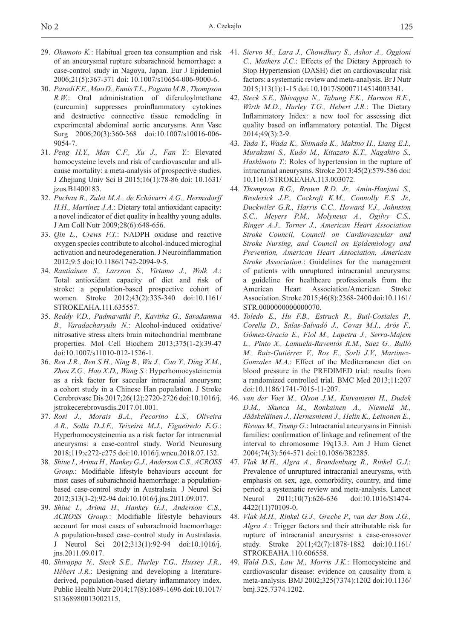- 29. *Okamoto K.*: Habitual green tea consumption and risk of an aneurysmal rupture subarachnoid hemorrhage: a case-control study in Nagoya, Japan. Eur J Epidemiol 2006;21(5):367-371 doi: 10.1007/s10654-006-9000-6.
- 30. *Parodi F.E., Mao D., Ennis T.L., Pagano M.B., Thompson R.W.*: Oral administration of diferuloylmethane (curcumin) suppresses proinflammatory cytokines and destructive connective tissue remodeling in experimental abdominal aortic aneurysms. Ann Vasc Surg 2006;20(3):360-368 doi:10.1007/s10016-006- 9054-7.
- 31. *Peng H.Y., Man C.F., Xu J., Fan Y.*: Elevated homocysteine levels and risk of cardiovascular and allcause mortality: a meta-analysis of prospective studies. J Zhejiang Univ Sci B 2015;16(1):78-86 doi: 10.1631/ jzus.B1400183.
- 32. *Puchau B., Zulet M.A., de Echávarri A.G., Hermsdorff H.H., Martínez J.A.*: Dietary total antioxidant capacity: a novel indicator of diet quality in healthy young adults. J Am Coll Nutr 2009;28(6):648-656.
- 33. *Qin L., Crews F.T.*: NADPH oxidase and reactive oxygen species contribute to alcohol-induced microglial activation and neurodegeneration. J Neuroinflammation 2012;9:5 doi:10.1186/1742-2094-9-5.
- 34. *Rautiainen S., Larsson S., Virtamo J., Wolk A.*: Total antioxidant capacity of diet and risk of stroke: a population-based prospective cohort of women. Stroke 2012;43(2):335-340 doi:10.1161/ STROKEAHA.111.635557.
- 35. *Reddy V.D., Padmavathi P., Kavitha G., Saradamma B., Varadacharyulu N.*: Alcohol-induced oxidative/ nitrosative stress alters brain mitochondrial membrane properties. Mol Cell Biochem 2013;375(1-2):39-47 doi:10.1007/s11010-012-1526-1.
- 36. *Ren J.R., Ren S.H., Ning B., Wu J., Cao Y., Ding X.M., Zhen Z.G., Hao X.D., Wang S.*: Hyperhomocysteinemia as a risk factor for saccular intracranial aneurysm: a cohort study in a Chinese Han population. J Stroke Cerebrovasc Dis 2017;26(12):2720-2726 doi:10.1016/j. jstrokecerebrovasdis.2017.01.001.
- 37. *Rosi J., Morais B.A., Pecorino L.S., Oliveira A.R., Solla D.J.F., Teixeira M.J., Figueiredo E.G.*: Hyperhomocysteinemia as a risk factor for intracranial aneurysms: a case-control study. World Neurosurg 2018;119:e272-e275 doi:10.1016/j.wneu.2018.07.132.
- 38. *Shiue I., Arima H., Hankey G.J., Anderson C.S., ACROSS Group.*: Modifiable lifestyle behaviours account for most cases of subarachnoid haemorrhage: a populationbased case-control study in Australasia. J Neurol Sci 2012;313(1-2):92-94 doi:10.1016/j.jns.2011.09.017.
- 39. *Shiue I., Arima H., Hankey G.J., Anderson C.S., ACROSS Group.*: Modifiable lifestyle behaviours account for most cases of subarachnoid haemorrhage: A population-based case–control study in Australasia. J Neurol Sci 2012;313(1):92-94 doi:10.1016/j. jns.2011.09.017.
- 40. *Shivappa N., Steck S.E., Hurley T.G., Hussey J.R., Hébert J.R.*: Designing and developing a literaturederived, population-based dietary inflammatory index. Public Health Nutr 2014;17(8):1689-1696 doi:10.1017/ S1368980013002115.
- 41. *Siervo M., Lara J., Chowdhury S., Ashor A., Oggioni C., Mathers J.C.*: Effects of the Dietary Approach to Stop Hypertension (DASH) diet on cardiovascular risk factors: a systematic review and meta-analysis. Br J Nutr 2015;113(1):1-15 doi:10.1017/S0007114514003341.
- 42. *Steck S.E., Shivappa N., Tabung F.K., Harmon B.E., Wirth M.D., Hurley T.G., Hebert J.R.*: The Dietary Inflammatory Index: a new tool for assessing diet quality based on inflammatory potential. The Digest 2014;49(3):2-9.
- 43. *Tada Y., Wada K., Shimada K., Makino H., Liang E.I., Murakami S., Kudo M., Kitazato K.T., Nagahiro S., Hashimoto T.*: Roles of hypertension in the rupture of intracranial aneurysms. Stroke 2013;45(2):579-586 doi: 10.1161/STROKEAHA.113.003072.
- 44. *Thompson B.G., Brown R.D. Jr., Amin-Hanjani S., Broderick J.P., Cockroft K.M., Connolly E.S. Jr., Duckwiler G.R., Harris C.C., Howard V.J., Johnston S.C., Meyers P.M., Molyneux A., Ogilvy C.S., Ringer A.J., Torner J., American Heart Association Stroke Council, Council on Cardiovascular and Stroke Nursing, and Council on Epidemiology and Prevention, American Heart Association, American Stroke Association.*: Guidelines for the management of patients with unruptured intracranial aneurysms: a guideline for healthcare professionals from the American Heart Association/American Stroke Association. Stroke 2015;46(8):2368-2400 doi:10.1161/ STR.0000000000000070.
- 45. *Toledo E., Hu F.B., Estruch R., Buil-Cosiales P., Corella D., Salas-Salvadó J., Covas M.I., Arós F., Gómez-Gracia E., Fiol M., Lapetra J., Serra-Majem L., Pinto X., Lamuela-Raventós R.M., Saez G., Bulló M., Ruiz-Gutiérrez V., Ros E., Sorli J.V., Martinez-Gonzalez M.A.*: Effect of the Mediterranean diet on blood pressure in the PREDIMED trial: results from a randomized controlled trial. BMC Med 2013;11:207 doi:10.1186/1741-7015-11-207.
- 46. *van der Voet M., Olson J.M., Kuivaniemi H., Dudek D.M., Skunca M., Ronkainen A., Niemelä M., Jääskeläinen J., Hernesniemi J., Helin K., Leinonen E., Biswas M., Tromp G.*: Intracranial aneurysms in Finnish families: confirmation of linkage and refinement of the interval to chromosome 19q13.3. Am J Hum Genet 2004;74(3):564-571 doi:10.1086/382285.
- 47. *Vlak M.H., Algra A., Brandenburg R., Rinkel G.J.*: Prevalence of unruptured intracranial aneurysms, with emphasis on sex, age, comorbidity, country, and time period: a systematic review and meta-analysis. Lancet Neurol 2011;10(7):626-636 doi:10.1016/S1474-4422(11)70109-0.
- 48. *Vlak M.H., Rinkel G.J., Greebe P., van der Bom J.G., Algra A.*: Trigger factors and their attributable risk for rupture of intracranial aneurysms: a case-crossover study. Stroke 2011;42(7):1878-1882 doi:10.1161/ STROKEAHA.110.606558.
- 49. *Wald D.S., Law M., Morris J.K.*: Homocysteine and cardiovascular disease: evidence on causality from a meta-analysis. BMJ 2002;325(7374):1202 doi:10.1136/ bmj.325.7374.1202.